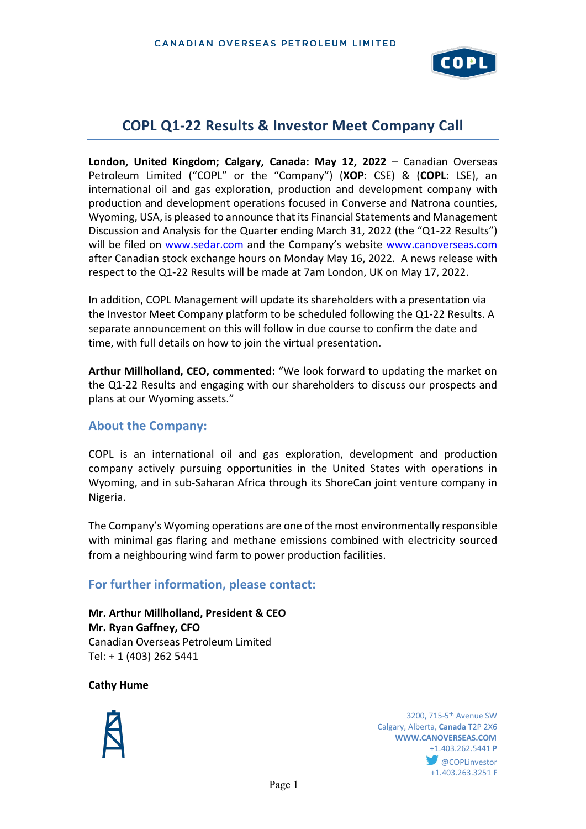

# **COPL Q1-22 Results & Investor Meet Company Call**

**London, United Kingdom; Calgary, Canada: May 12, 2022** – Canadian Overseas Petroleum Limited ("COPL" or the "Company") (**XOP**: CSE) & (**COPL**: LSE), an international oil and gas exploration, production and development company with production and development operations focused in Converse and Natrona counties, Wyoming, USA, is pleased to announce that its Financial Statements and Management Discussion and Analysis for the Quarter ending March 31, 2022 (the "Q1-22 Results") will be filed on [www.sedar.com](http://www.sedar.com/) and the Company's website [www.canoverseas.com](http://www.canoverseas.com/) after Canadian stock exchange hours on Monday May 16, 2022. A news release with respect to the Q1-22 Results will be made at 7am London, UK on May 17, 2022.

In addition, COPL Management will update its shareholders with a presentation via the Investor Meet Company platform to be scheduled following the Q1-22 Results. A separate announcement on this will follow in due course to confirm the date and time, with full details on how to join the virtual presentation.

**Arthur Millholland, CEO, commented:** "We look forward to updating the market on the Q1-22 Results and engaging with our shareholders to discuss our prospects and plans at our Wyoming assets."

# **About the Company:**

COPL is an international oil and gas exploration, development and production company actively pursuing opportunities in the United States with operations in Wyoming, and in sub-Saharan Africa through its ShoreCan joint venture company in Nigeria.

The Company's Wyoming operations are one of the most environmentally responsible with minimal gas flaring and methane emissions combined with electricity sourced from a neighbouring wind farm to power production facilities.

# **For further information, please contact:**

**Mr. Arthur Millholland, President & CEO Mr. Ryan Gaffney, CFO** Canadian Overseas Petroleum Limited Tel: + 1 (403) 262 5441

**Cathy Hume**



 3200, 715-5th Avenue SW Calgary, Alberta, **Canada** T2P 2X6 **WWW.CANOVERSEAS.COM** +1.403.262.5441 **P COPLinvestor** +1.403.263.3251 **F**